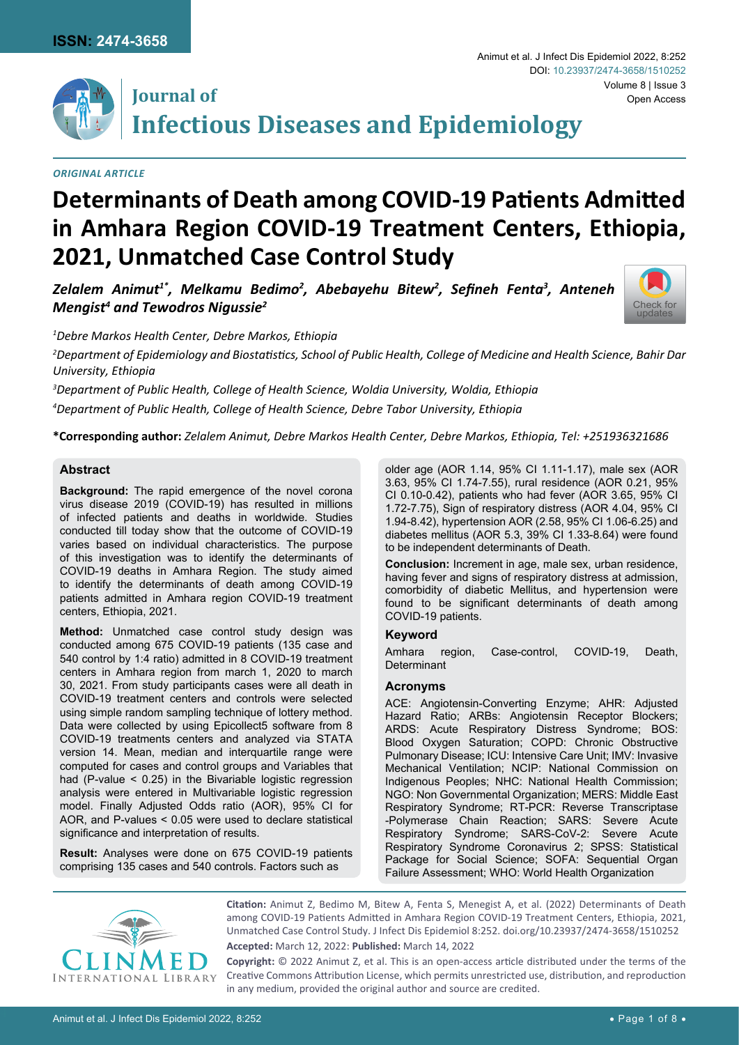

## **Journal of Infectious Diseases and Epidemiology**

#### *Original Article*

# **Determinants of Death among COVID-19 Patients Admitted in Amhara Region COVID-19 Treatment Centers, Ethiopia, 2021, Unmatched Case Control Study**

*Zelalem Animut1\*, Melkamu Bedimo2 , Abebayehu Bitew2 , Sefineh Fenta<sup>3</sup> , Anteneh*   $\bm{\mathsf{M}}$ engist<sup>4</sup> and Tewodros Nigussie<sup>2</sup>



Volume 8 | Issue 3

Open Access

Animut et al. J Infect Dis Epidemiol 2022, 8:252

DOI: [10.23937/2474-3658/1510252](https://doi.org/10.23937/2474-3658/1510252)

*1 Debre Markos Health Center, Debre Markos, Ethiopia*

*2 Department of Epidemiology and Biostatistics, School of Public Health, College of Medicine and Health Science, Bahir Dar University, Ethiopia*

*3 Department of Public Health, College of Health Science, Woldia University, Woldia, Ethiopia*

*4 Department of Public Health, College of Health Science, Debre Tabor University, Ethiopia*

**\*Corresponding author:** *Zelalem Animut, Debre Markos Health Center, Debre Markos, Ethiopia, Tel: +251936321686*

## **Abstract**

**Background:** The rapid emergence of the novel corona virus disease 2019 (COVID-19) has resulted in millions of infected patients and deaths in worldwide. Studies conducted till today show that the outcome of COVID-19 varies based on individual characteristics. The purpose of this investigation was to identify the determinants of COVID-19 deaths in Amhara Region. The study aimed to identify the determinants of death among COVID-19 patients admitted in Amhara region COVID-19 treatment centers, Ethiopia, 2021.

**Method:** Unmatched case control study design was conducted among 675 COVID-19 patients (135 case and 540 control by 1:4 ratio) admitted in 8 COVID-19 treatment centers in Amhara region from march 1, 2020 to march 30, 2021. From study participants cases were all death in COVID-19 treatment centers and controls were selected using simple random sampling technique of lottery method. Data were collected by using Epicollect5 software from 8 COVID-19 treatments centers and analyzed via STATA version 14. Mean, median and interquartile range were computed for cases and control groups and Variables that had (P-value < 0.25) in the Bivariable logistic regression analysis were entered in Multivariable logistic regression model. Finally Adjusted Odds ratio (AOR), 95% CI for AOR, and P-values < 0.05 were used to declare statistical significance and interpretation of results.

**Result:** Analyses were done on 675 COVID-19 patients comprising 135 cases and 540 controls. Factors such as

older age (AOR 1.14, 95% CI 1.11-1.17), male sex (AOR 3.63, 95% CI 1.74-7.55), rural residence (AOR 0.21, 95% CI 0.10-0.42), patients who had fever (AOR 3.65, 95% CI 1.72-7.75), Sign of respiratory distress (AOR 4.04, 95% CI 1.94-8.42), hypertension AOR (2.58, 95% CI 1.06-6.25) and diabetes mellitus (AOR 5.3, 39% CI 1.33-8.64) were found to be independent determinants of Death.

**Conclusion:** Increment in age, male sex, urban residence, having fever and signs of respiratory distress at admission, comorbidity of diabetic Mellitus, and hypertension were found to be significant determinants of death among COVID-19 patients.

#### **Keyword**

Amhara region, Case-control, COVID-19, Death, Determinant

#### **Acronyms**

ACE: Angiotensin-Converting Enzyme; AHR: Adjusted Hazard Ratio; ARBs: Angiotensin Receptor Blockers; ARDS: Acute Respiratory Distress Syndrome; BOS: Blood Oxygen Saturation; COPD: Chronic Obstructive Pulmonary Disease; ICU: Intensive Care Unit; IMV: Invasive Mechanical Ventilation; NCIP: National Commission on Indigenous Peoples; NHC: National Health Commission; NGO: Non Governmental Organization; MERS: Middle East Respiratory Syndrome; RT-PCR: Reverse Transcriptase -Polymerase Chain Reaction; SARS: Severe Acute Respiratory Syndrome; SARS-CoV-2: Severe Acute Respiratory Syndrome Coronavirus 2; SPSS: Statistical Package for Social Science; SOFA: Sequential Organ Failure Assessment; WHO: World Health Organization



**Citation:** Animut Z, Bedimo M, Bitew A, Fenta S, Menegist A, et al. (2022) Determinants of Death among COVID-19 Patients Admitted in Amhara Region COVID-19 Treatment Centers, Ethiopia, 2021, Unmatched Case Control Study. J Infect Dis Epidemiol 8:252. [doi.org/10.23937/2474-3658/1510252](https://doi.org/10.23937/2474-3658/1510252)

**Accepted:** March 12, 2022: **Published:** March 14, 2022

**Copyright:** © 2022 Animut Z, et al. This is an open-access article distributed under the terms of the Creative Commons Attribution License, which permits unrestricted use, distribution, and reproduction in any medium, provided the original author and source are credited.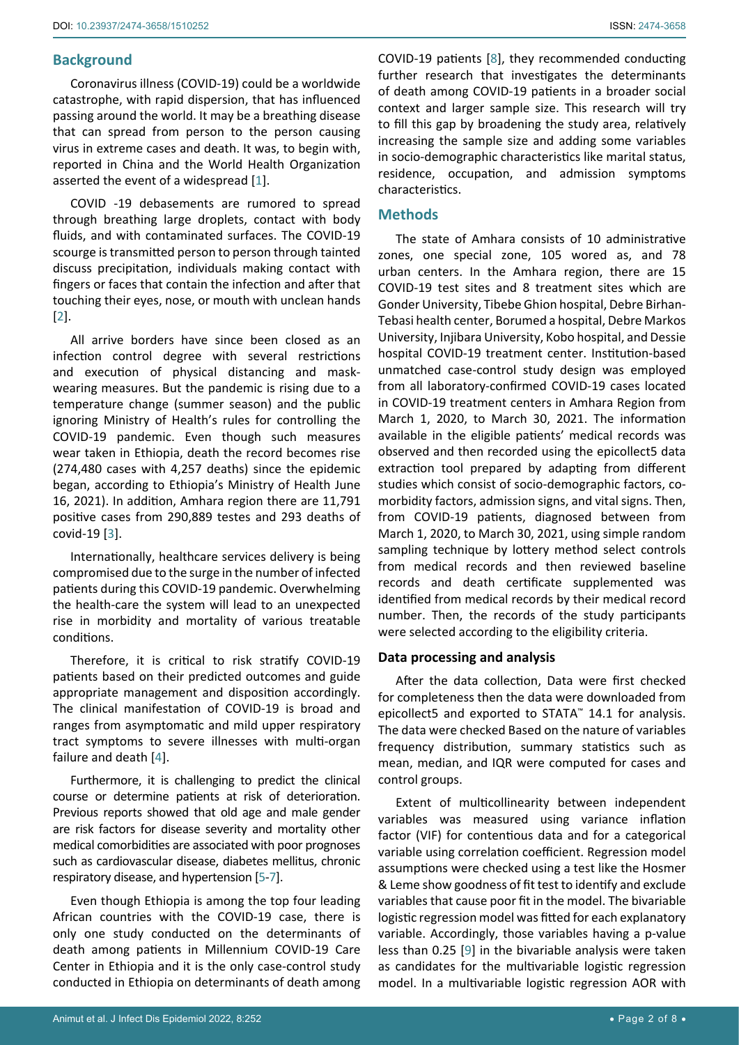## **Background**

Coronavirus illness (COVID-19) could be a worldwide catastrophe, with rapid dispersion, that has influenced passing around the world. It may be a breathing disease that can spread from person to the person causing virus in extreme cases and death. It was, to begin with, reported in China and the World Health Organization asserted the event of a widespread [[1](#page-6-0)].

COVID -19 debasements are rumored to spread through breathing large droplets, contact with body fluids, and with contaminated surfaces. The COVID-19 scourge is transmitted person to person through tainted discuss precipitation, individuals making contact with fingers or faces that contain the infection and after that touching their eyes, nose, or mouth with unclean hands [[2](#page-6-1)].

All arrive borders have since been closed as an infection control degree with several restrictions and execution of physical distancing and maskwearing measures. But the pandemic is rising due to a temperature change (summer season) and the public ignoring Ministry of Health's rules for controlling the COVID-19 pandemic. Even though such measures wear taken in Ethiopia, death the record becomes rise (274,480 cases with 4,257 deaths) since the epidemic began, according to Ethiopia's Ministry of Health June 16, 2021). In addition, Amhara region there are 11,791 positive cases from 290,889 testes and 293 deaths of covid-19 [[3](#page-7-0)].

Internationally, healthcare services delivery is being compromised due to the surge in the number of infected patients during this COVID-19 pandemic. Overwhelming the health-care the system will lead to an unexpected rise in morbidity and mortality of various treatable conditions.

Therefore, it is critical to risk stratify COVID-19 patients based on their predicted outcomes and guide appropriate management and disposition accordingly. The clinical manifestation of COVID-19 is broad and ranges from asymptomatic and mild upper respiratory tract symptoms to severe illnesses with multi-organ failure and death [[4](#page-7-1)].

Furthermore, it is challenging to predict the clinical course or determine patients at risk of deterioration. Previous reports showed that old age and male gender are risk factors for disease severity and mortality other medical comorbidities are associated with poor prognoses such as cardiovascular disease, diabetes mellitus, chronic respiratory disease, and hypertension [\[5](#page-7-2)-[7](#page-7-3)].

Even though Ethiopia is among the top four leading African countries with the COVID-19 case, there is only one study conducted on the determinants of death among patients in Millennium COVID-19 Care Center in Ethiopia and it is the only case-control study conducted in Ethiopia on determinants of death among

COVID-19 patients [\[8\]](#page-7-4), they recommended conducting further research that investigates the determinants of death among COVID-19 patients in a broader social context and larger sample size. This research will try to fill this gap by broadening the study area, relatively increasing the sample size and adding some variables in socio-demographic characteristics like marital status, residence, occupation, and admission symptoms characteristics.

## **Methods**

The state of Amhara consists of 10 administrative zones, one special zone, 105 wored as, and 78 urban centers. In the Amhara region, there are 15 COVID-19 test sites and 8 treatment sites which are Gonder University, Tibebe Ghion hospital, Debre Birhan-Tebasi health center, Borumed a hospital, Debre Markos University, Injibara University, Kobo hospital, and Dessie hospital COVID-19 treatment center. Institution-based unmatched case-control study design was employed from all laboratory-confirmed COVID-19 cases located in COVID-19 treatment centers in Amhara Region from March 1, 2020, to March 30, 2021. The information available in the eligible patients' medical records was observed and then recorded using the epicollect5 data extraction tool prepared by adapting from different studies which consist of socio-demographic factors, comorbidity factors, admission signs, and vital signs. Then, from COVID-19 patients, diagnosed between from March 1, 2020, to March 30, 2021, using simple random sampling technique by lottery method select controls from medical records and then reviewed baseline records and death certificate supplemented was identified from medical records by their medical record number. Then, the records of the study participants were selected according to the eligibility criteria.

#### **Data processing and analysis**

After the data collection, Data were first checked for completeness then the data were downloaded from epicollect5 and exported to STATA™ 14.1 for analysis. The data were checked Based on the nature of variables frequency distribution, summary statistics such as mean, median, and IQR were computed for cases and control groups.

Extent of multicollinearity between independent variables was measured using variance inflation factor (VIF) for contentious data and for a categorical variable using correlation coefficient. Regression model assumptions were checked using a test like the Hosmer & Leme show goodness of fit test to identify and exclude variables that cause poor fit in the model. The bivariable logistic regression model was fitted for each explanatory variable. Accordingly, those variables having a p-value less than 0.25 [[9](#page-7-5)] in the bivariable analysis were taken as candidates for the multivariable logistic regression model. In a multivariable logistic regression AOR with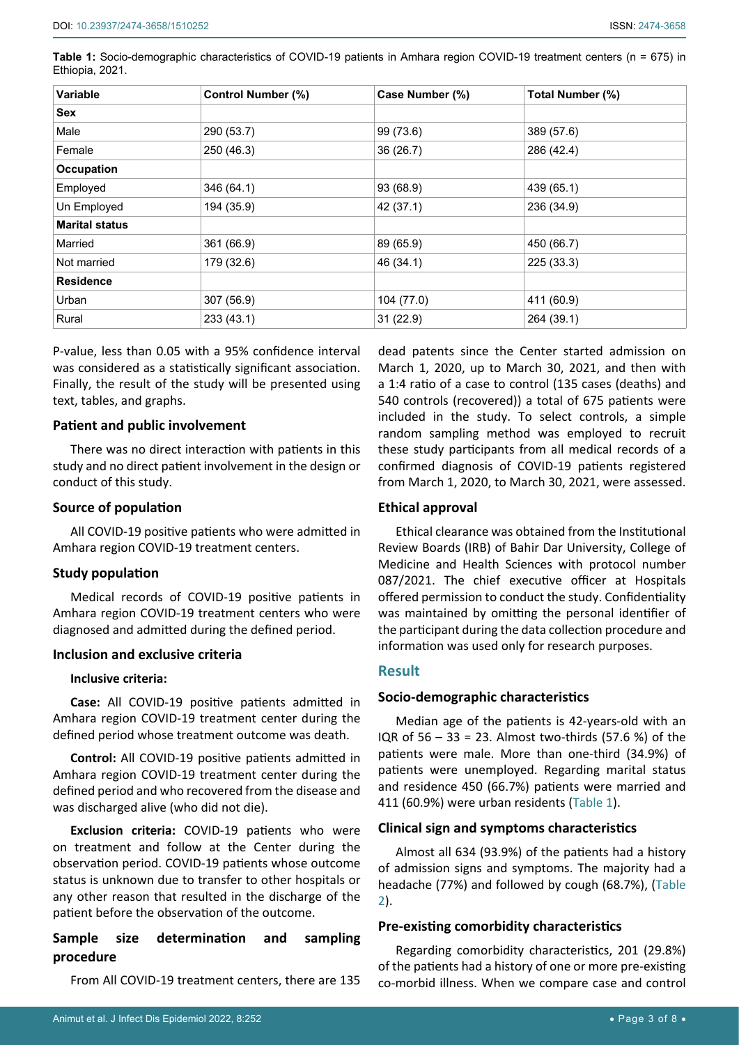**Table 1:** Socio-demographic characteristics of COVID-19 patients in Amhara region COVID-19 treatment centers (n = 675) in Ethiopia, 2021.

| <b>Variable</b><br><b>Control Number (%)</b> |            | Case Number (%) | Total Number (%) |  |
|----------------------------------------------|------------|-----------------|------------------|--|
| <b>Sex</b>                                   |            |                 |                  |  |
| Male                                         | 290 (53.7) |                 | 389 (57.6)       |  |
| Female                                       | 250 (46.3) | 36 (26.7)       | 286 (42.4)       |  |
| Occupation                                   |            |                 |                  |  |
| Employed                                     | 346 (64.1) | 93 (68.9)       | 439 (65.1)       |  |
| Un Employed                                  | 194 (35.9) | 42 (37.1)       | 236 (34.9)       |  |
| <b>Marital status</b>                        |            |                 |                  |  |
| Married                                      | 361 (66.9) | 89 (65.9)       | 450 (66.7)       |  |
| Not married                                  | 179 (32.6) | 46 (34.1)       | 225 (33.3)       |  |
| <b>Residence</b>                             |            |                 |                  |  |
| Urban                                        | 307 (56.9) |                 | 411 (60.9)       |  |
| Rural                                        | 233(43.1)  | 31(22.9)        | 264 (39.1)       |  |

P-value, less than 0.05 with a 95% confidence interval was considered as a statistically significant association. Finally, the result of the study will be presented using text, tables, and graphs.

#### **Patient and public involvement**

There was no direct interaction with patients in this study and no direct patient involvement in the design or conduct of this study.

#### **Source of population**

All COVID-19 positive patients who were admitted in Amhara region COVID-19 treatment centers.

#### **Study population**

Medical records of COVID-19 positive patients in Amhara region COVID-19 treatment centers who were diagnosed and admitted during the defined period.

#### **Inclusion and exclusive criteria**

#### **Inclusive criteria:**

**Case:** All COVID-19 positive patients admitted in Amhara region COVID-19 treatment center during the defined period whose treatment outcome was death.

**Control:** All COVID-19 positive patients admitted in Amhara region COVID-19 treatment center during the defined period and who recovered from the disease and was discharged alive (who did not die).

**Exclusion criteria:** COVID-19 patients who were on treatment and follow at the Center during the observation period. COVID-19 patients whose outcome status is unknown due to transfer to other hospitals or any other reason that resulted in the discharge of the patient before the observation of the outcome.

## **Sample size determination and sampling procedure**

From All COVID-19 treatment centers, there are 135

dead patents since the Center started admission on March 1, 2020, up to March 30, 2021, and then with a 1:4 ratio of a case to control (135 cases (deaths) and 540 controls (recovered)) a total of 675 patients were included in the study. To select controls, a simple random sampling method was employed to recruit these study participants from all medical records of a confirmed diagnosis of COVID-19 patients registered from March 1, 2020, to March 30, 2021, were assessed.

#### **Ethical approval**

Ethical clearance was obtained from the Institutional Review Boards (IRB) of Bahir Dar University, College of Medicine and Health Sciences with protocol number 087/2021. The chief executive officer at Hospitals offered permission to conduct the study. Confidentiality was maintained by omitting the personal identifier of the participant during the data collection procedure and information was used only for research purposes.

#### **Result**

#### **Socio-demographic characteristics**

Median age of the patients is 42-years-old with an IQR of  $56 - 33 = 23$ . Almost two-thirds (57.6 %) of the patients were male. More than one-third (34.9%) of patients were unemployed. Regarding marital status and residence 450 (66.7%) patients were married and 411 (60.9%) were urban residents (Table 1).

#### **Clinical sign and symptoms characteristics**

Almost all 634 (93.9%) of the patients had a history of admission signs and symptoms. The majority had a headache (77%) and followed by cough (68.7%), (Table 2).

#### **Pre-existing comorbidity characteristics**

Regarding comorbidity characteristics, 201 (29.8%) of the patients had a history of one or more pre-existing co-morbid illness. When we compare case and control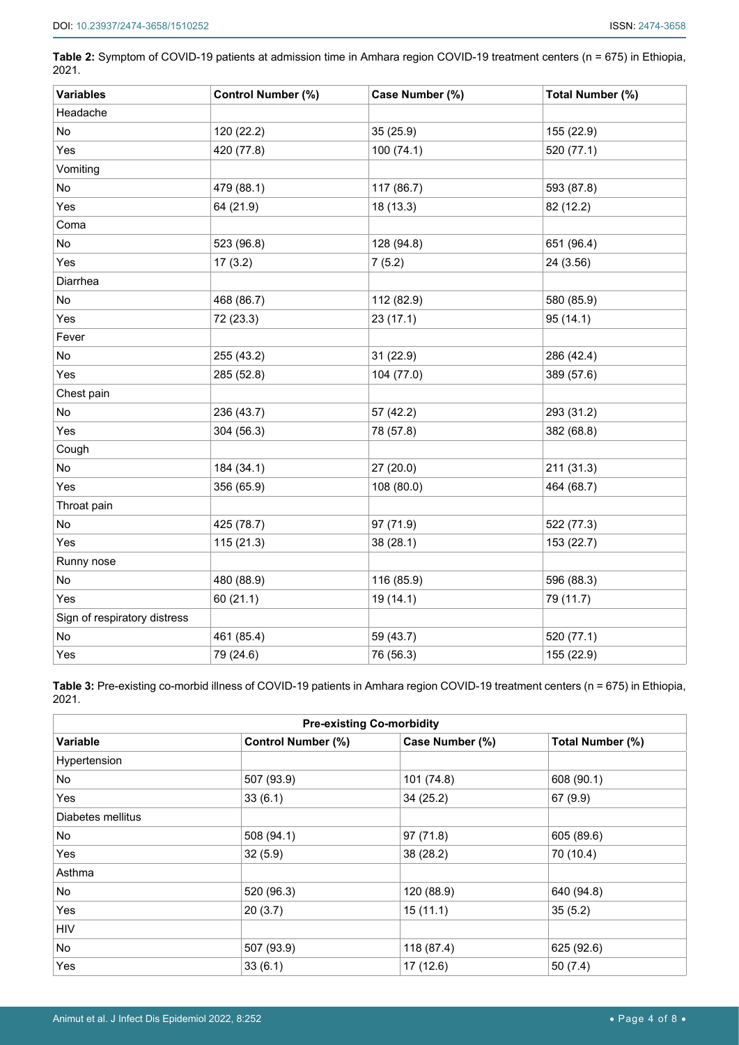**Table 2:** Symptom of COVID-19 patients at admission time in Amhara region COVID-19 treatment centers (n = 675) in Ethiopia, 2021.

| <b>Variables</b>             | Control Number (%) | Case Number (%) | Total Number (%) |
|------------------------------|--------------------|-----------------|------------------|
| Headache                     |                    |                 |                  |
| No                           | 120 (22.2)         | 35 (25.9)       | 155 (22.9)       |
| Yes                          | 420 (77.8)         | 100 (74.1)      | 520 (77.1)       |
| Vomiting                     |                    |                 |                  |
| No                           | 479 (88.1)         | 117 (86.7)      | 593 (87.8)       |
| Yes                          | 64 (21.9)          | 18 (13.3)       | 82 (12.2)        |
| Coma                         |                    |                 |                  |
| No                           | 523 (96.8)         | 128 (94.8)      | 651 (96.4)       |
| Yes                          | 17(3.2)            | 7(5.2)          | 24 (3.56)        |
| Diarrhea                     |                    |                 |                  |
| No                           | 468 (86.7)         | 112 (82.9)      | 580 (85.9)       |
| Yes                          | 72 (23.3)          | 23(17.1)        | 95 (14.1)        |
| Fever                        |                    |                 |                  |
| No                           | 255 (43.2)         | 31 (22.9)       | 286 (42.4)       |
| Yes                          | 285 (52.8)         | 104 (77.0)      | 389 (57.6)       |
| Chest pain                   |                    |                 |                  |
| No                           | 236 (43.7)         | 57 (42.2)       | 293 (31.2)       |
| Yes                          | 304 (56.3)         | 78 (57.8)       | 382 (68.8)       |
| Cough                        |                    |                 |                  |
| No                           | 184 (34.1)         | 27 (20.0)       | 211 (31.3)       |
| Yes                          | 356 (65.9)         | 108 (80.0)      | 464 (68.7)       |
| Throat pain                  |                    |                 |                  |
| No                           | 425 (78.7)         | 97 (71.9)       | 522 (77.3)       |
| Yes                          | 115 (21.3)         | 38 (28.1)       | 153 (22.7)       |
| Runny nose                   |                    |                 |                  |
| No                           | 480 (88.9)         | 116 (85.9)      | 596 (88.3)       |
| Yes                          | 60 (21.1)          | 19 (14.1)       | 79 (11.7)        |
| Sign of respiratory distress |                    |                 |                  |
| No                           | 461 (85.4)         | 59 (43.7)       | 520 (77.1)       |
| Yes                          | 79 (24.6)          | 76 (56.3)       | 155 (22.9)       |

**Table 3:** Pre-existing co-morbid illness of COVID-19 patients in Amhara region COVID-19 treatment centers (n = 675) in Ethiopia, 2021.

| <b>Pre-existing Co-morbidity</b> |                           |                     |                  |  |  |
|----------------------------------|---------------------------|---------------------|------------------|--|--|
| <b>Variable</b>                  | <b>Control Number (%)</b> | Case Number (%)     | Total Number (%) |  |  |
| Hypertension                     |                           |                     |                  |  |  |
| No                               | 507 (93.9)                | 101 (74.8)          | 608 (90.1)       |  |  |
| Yes                              | 33(6.1)                   | 34(25.2)            | 67(9.9)          |  |  |
| Diabetes mellitus                |                           |                     |                  |  |  |
| No                               | 508 (94.1)                | 97(71.8)            | 605 (89.6)       |  |  |
| Yes                              | 32(5.9)                   | 38 (28.2)           | 70 (10.4)        |  |  |
| Asthma                           |                           |                     |                  |  |  |
| No                               | 520 (96.3)                | 120 (88.9)          | 640 (94.8)       |  |  |
| Yes                              | 20(3.7)                   | 35(5.2)<br>15(11.1) |                  |  |  |
| <b>HIV</b>                       |                           |                     |                  |  |  |
| No                               | 507 (93.9)                | 118 (87.4)          | 625 (92.6)       |  |  |
| Yes                              | 33(6.1)                   | 17(12.6)            | 50(7.4)          |  |  |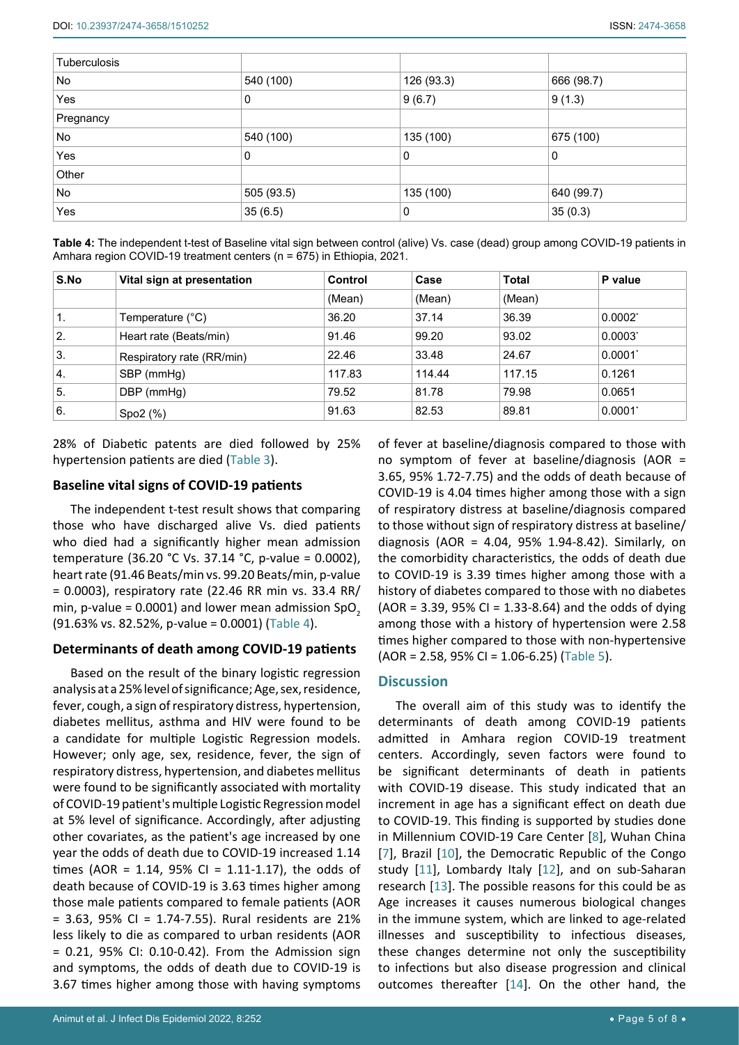| Tuberculosis |            |            |            |
|--------------|------------|------------|------------|
| No           | 540 (100)  | 126 (93.3) | 666 (98.7) |
| Yes          | 0          | 9(6.7)     | 9(1.3)     |
| Pregnancy    |            |            |            |
| No           | 540 (100)  | 135 (100)  | 675 (100)  |
| Yes          | 0          | 0          | 0          |
| Other        |            |            |            |
| No           | 505 (93.5) | 135 (100)  | 640 (99.7) |
| Yes          | 35(6.5)    | 0          | 35(0.3)    |

**Table 4:** The independent t-test of Baseline vital sign between control (alive) Vs. case (dead) group among COVID-19 patients in Amhara region COVID-19 treatment centers (n = 675) in Ethiopia, 2021.

| S.No             | Vital sign at presentation | Control | Case   | <b>Total</b> | P value               |
|------------------|----------------------------|---------|--------|--------------|-----------------------|
|                  |                            | (Mean)  | (Mean) | (Mean)       |                       |
| 1.               | Temperature (°C)           | 36.20   | 37.14  | 36.39        | $0.0002^*$            |
| 2.               | Heart rate (Beats/min)     | 91.46   | 99.20  | 93.02        | $0.0003^*$            |
| 3.               | Respiratory rate (RR/min)  | 22.46   | 33.48  | 24.67        | $0.0001$ <sup>*</sup> |
| $\overline{4}$ . | SBP (mmHg)                 | 117.83  | 114.44 | 117.15       | 0.1261                |
| 5.               | DBP (mmHg)                 | 79.52   | 81.78  | 79.98        | 0.0651                |
| 6.               | Spo2(%)                    | 91.63   | 82.53  | 89.81        | $0.0001$ <sup>*</sup> |

28% of Diabetic patents are died followed by 25% hypertension patients are died (Table 3).

## **Baseline vital signs of COVID-19 patients**

The independent t-test result shows that comparing those who have discharged alive Vs. died patients who died had a significantly higher mean admission temperature (36.20 °C Vs. 37.14 °C, p-value = 0.0002), heart rate (91.46 Beats/min vs. 99.20 Beats/min, p-value = 0.0003), respiratory rate (22.46 RR min vs. 33.4 RR/ min, p-value =  $0.0001$ ) and lower mean admission SpO<sub>2</sub> (91.63% vs. 82.52%, p-value = 0.0001) (Table 4).

## **Determinants of death among COVID-19 patients**

Based on the result of the binary logistic regression analysis at a 25% level of significance; Age, sex, residence, fever, cough, a sign of respiratory distress, hypertension, diabetes mellitus, asthma and HIV were found to be a candidate for multiple Logistic Regression models. However; only age, sex, residence, fever, the sign of respiratory distress, hypertension, and diabetes mellitus were found to be significantly associated with mortality of COVID-19 patient's multiple Logistic Regression model at 5% level of significance. Accordingly, after adjusting other covariates, as the patient's age increased by one year the odds of death due to COVID-19 increased 1.14 times (AOR = 1.14, 95% CI = 1.11-1.17), the odds of death because of COVID-19 is 3.63 times higher among those male patients compared to female patients (AOR  $= 3.63$ , 95% CI = 1.74-7.55). Rural residents are 21% less likely to die as compared to urban residents (AOR = 0.21, 95% CI: 0.10-0.42). From the Admission sign and symptoms, the odds of death due to COVID-19 is 3.67 times higher among those with having symptoms

Animut et al. J Infect Dis Epidemiol 2022, 8:252 • Page 5 of 8 • Page 5 of 8 • Page 5 of 8 • Page 5 of 8 • Page 5 of 8 • Page 5 of 8 • Page 5 of 8 • Page 5 of 8 • Page 5 of 8 • Page 5 of 8 • Page 5 of 8 • Page 5 of 8 • Pag

of fever at baseline/diagnosis compared to those with no symptom of fever at baseline/diagnosis (AOR = 3.65, 95% 1.72-7.75) and the odds of death because of COVID-19 is 4.04 times higher among those with a sign of respiratory distress at baseline/diagnosis compared to those without sign of respiratory distress at baseline/ diagnosis (AOR = 4.04, 95% 1.94-8.42). Similarly, on the comorbidity characteristics, the odds of death due to COVID-19 is 3.39 times higher among those with a history of diabetes compared to those with no diabetes  $(AOR = 3.39, 95\% CI = 1.33-8.64)$  and the odds of dying among those with a history of hypertension were 2.58 times higher compared to those with non-hypertensive (AOR = 2.58, 95% CI = 1.06-6.25) (Table 5).

## **Discussion**

The overall aim of this study was to identify the determinants of death among COVID-19 patients admitted in Amhara region COVID-19 treatment centers. Accordingly, seven factors were found to be significant determinants of death in patients with COVID-19 disease. This study indicated that an increment in age has a significant effect on death due to COVID-19. This finding is supported by studies done in Millennium COVID-19 Care Center [\[8\]](#page-7-4), Wuhan China [\[7\]](#page-7-3), Brazil [[10](#page-7-6)], the Democratic Republic of the Congo study [[11](#page-7-7)], Lombardy Italy [[12](#page-7-8)], and on sub-Saharan research [[13\]](#page-7-9). The possible reasons for this could be as Age increases it causes numerous biological changes in the immune system, which are linked to age-related illnesses and susceptibility to infectious diseases, these changes determine not only the susceptibility to infections but also disease progression and clinical outcomes thereafter [[14](#page-7-10)]. On the other hand, the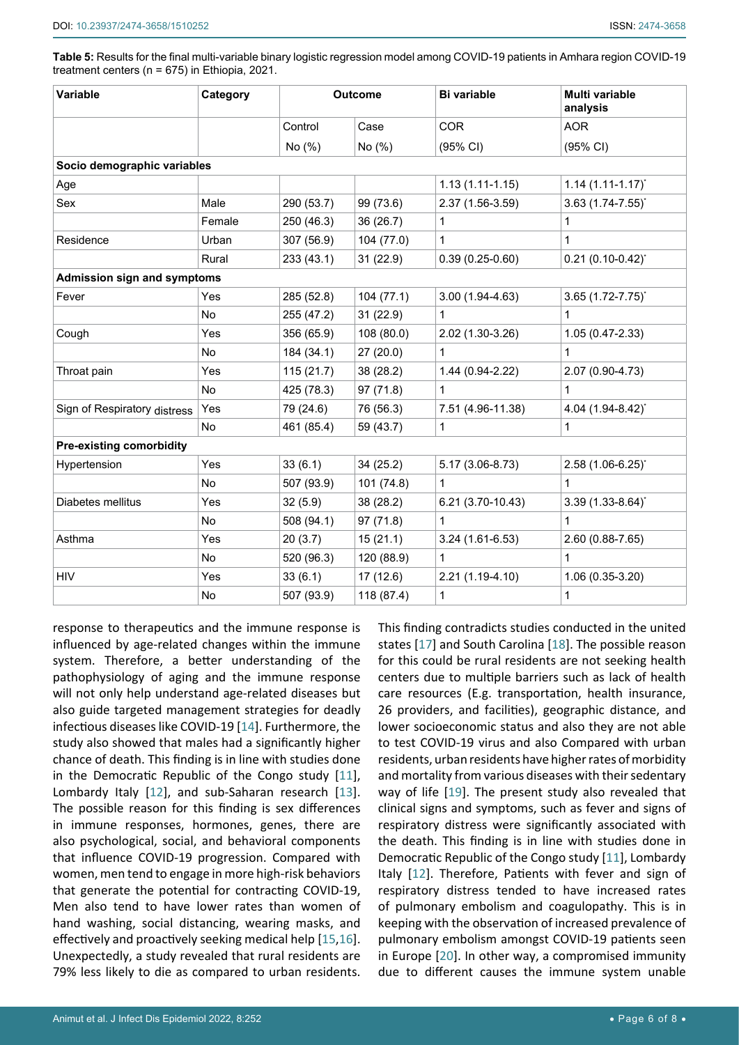**Table 5:** Results for the final multi-variable binary logistic regression model among COVID-19 patients in Amhara region COVID-19 treatment centers (n = 675) in Ethiopia, 2021.

| Variable                           | Category  | <b>Outcome</b> |            | <b>Bi variable</b>  | Multi variable<br>analysis      |
|------------------------------------|-----------|----------------|------------|---------------------|---------------------------------|
|                                    |           | Control        | Case       | <b>COR</b>          | <b>AOR</b>                      |
|                                    |           | No (%)         | No (%)     | (95% CI)            | (95% CI)                        |
| Socio demographic variables        |           |                |            |                     |                                 |
| Age                                |           |                |            | $1.13(1.11-1.15)$   | $1.14$ $(1.11 - 1.17)^{*}$      |
| Sex                                | Male      | 290 (53.7)     | 99 (73.6)  | 2.37 (1.56-3.59)    | $3.63$ (1.74-7.55) <sup>*</sup> |
|                                    | Female    | 250 (46.3)     | 36(26.7)   | $\mathbf{1}$        | 1                               |
| Residence                          | Urban     | 307 (56.9)     | 104 (77.0) | $\mathbf{1}$        | 1                               |
|                                    | Rural     | 233 (43.1)     | 31(22.9)   | $0.39(0.25-0.60)$   | $0.21$ (0.10-0.42) <sup>*</sup> |
| <b>Admission sign and symptoms</b> |           |                |            |                     |                                 |
| Fever                              | Yes       | 285 (52.8)     | 104(77.1)  | $3.00(1.94 - 4.63)$ | $3.65$ $(1.72 - 7.75)^{*}$      |
|                                    | <b>No</b> | 255 (47.2)     | 31(22.9)   | $\mathbf 1$         | 1                               |
| Cough                              | Yes       | 356 (65.9)     | 108 (80.0) | 2.02 (1.30-3.26)    | 1.05 (0.47-2.33)                |
|                                    | <b>No</b> | 184 (34.1)     | 27(20.0)   | $\mathbf{1}$        | $\mathbf{1}$                    |
| Throat pain                        | Yes       | 115(21.7)      | 38 (28.2)  | 1.44 (0.94-2.22)    | 2.07 (0.90-4.73)                |
|                                    | <b>No</b> | 425 (78.3)     | 97 (71.8)  | $\mathbf{1}$        | 1                               |
| Sign of Respiratory distress       | Yes       | 79 (24.6)      | 76 (56.3)  | 7.51 (4.96-11.38)   | 4.04 (1.94-8.42)*               |
|                                    | <b>No</b> | 461 (85.4)     | 59 (43.7)  | $\mathbf{1}$        | 1                               |
| <b>Pre-existing comorbidity</b>    |           |                |            |                     |                                 |
| Hypertension                       | Yes       | 33(6.1)        | 34(25.2)   | 5.17 (3.06-8.73)    | 2.58 (1.06-6.25)*               |
|                                    | No        | 507 (93.9)     | 101 (74.8) | 1                   | 1                               |
| Diabetes mellitus                  | Yes       | 32(5.9)        | 38 (28.2)  | 6.21 (3.70-10.43)   | $3.39(1.33 - 8.64)^{*}$         |
|                                    | <b>No</b> | 508 (94.1)     | 97(71.8)   | $\mathbf{1}$        | $\mathbf{1}$                    |
| Asthma                             | Yes       | 20(3.7)        | 15(21.1)   | $3.24(1.61-6.53)$   | 2.60 (0.88-7.65)                |
|                                    | <b>No</b> | 520 (96.3)     | 120 (88.9) | $\mathbf{1}$        | 1                               |
| <b>HIV</b>                         | Yes       | 33(6.1)        | 17(12.6)   | 2.21 (1.19-4.10)    | 1.06 (0.35-3.20)                |
|                                    | No        | 507 (93.9)     | 118 (87.4) | $\mathbf 1$         | 1                               |

response to therapeutics and the immune response is influenced by age-related changes within the immune system. Therefore, a better understanding of the pathophysiology of aging and the immune response will not only help understand age-related diseases but also guide targeted management strategies for deadly infectious diseases like COVID-19 [\[14](#page-7-10)]. Furthermore, the study also showed that males had a significantly higher chance of death. This finding is in line with studies done in the Democratic Republic of the Congo study [[11](#page-7-7)], Lombardy Italy [[12](#page-7-8)], and sub-Saharan research [\[13](#page-7-9)]. The possible reason for this finding is sex differences in immune responses, hormones, genes, there are also psychological, social, and behavioral components that influence COVID-19 progression. Compared with women, men tend to engage in more high-risk behaviors that generate the potential for contracting COVID-19, Men also tend to have lower rates than women of hand washing, social distancing, wearing masks, and effectively and proactively seeking medical help [\[15](#page-7-15),[16](#page-7-16)]. Unexpectedly, a study revealed that rural residents are 79% less likely to die as compared to urban residents. This finding contradicts studies conducted in the united states [\[17](#page-7-11)] and South Carolina [[18\]](#page-7-12). The possible reason for this could be rural residents are not seeking health centers due to multiple barriers such as lack of health care resources (E.g. transportation, health insurance, 26 providers, and facilities), geographic distance, and lower socioeconomic status and also they are not able to test COVID-19 virus and also Compared with urban residents, urban residents have higher rates of morbidity and mortality from various diseases with their sedentary way of life [[19](#page-7-13)]. The present study also revealed that clinical signs and symptoms, such as fever and signs of respiratory distress were significantly associated with the death. This finding is in line with studies done in Democratic Republic of the Congo study [[11](#page-7-7)], Lombardy Italy [[12](#page-7-8)]. Therefore, Patients with fever and sign of respiratory distress tended to have increased rates of pulmonary embolism and coagulopathy. This is in keeping with the observation of increased prevalence of pulmonary embolism amongst COVID-19 patients seen in Europe [[20](#page-7-14)]. In other way, a compromised immunity due to different causes the immune system unable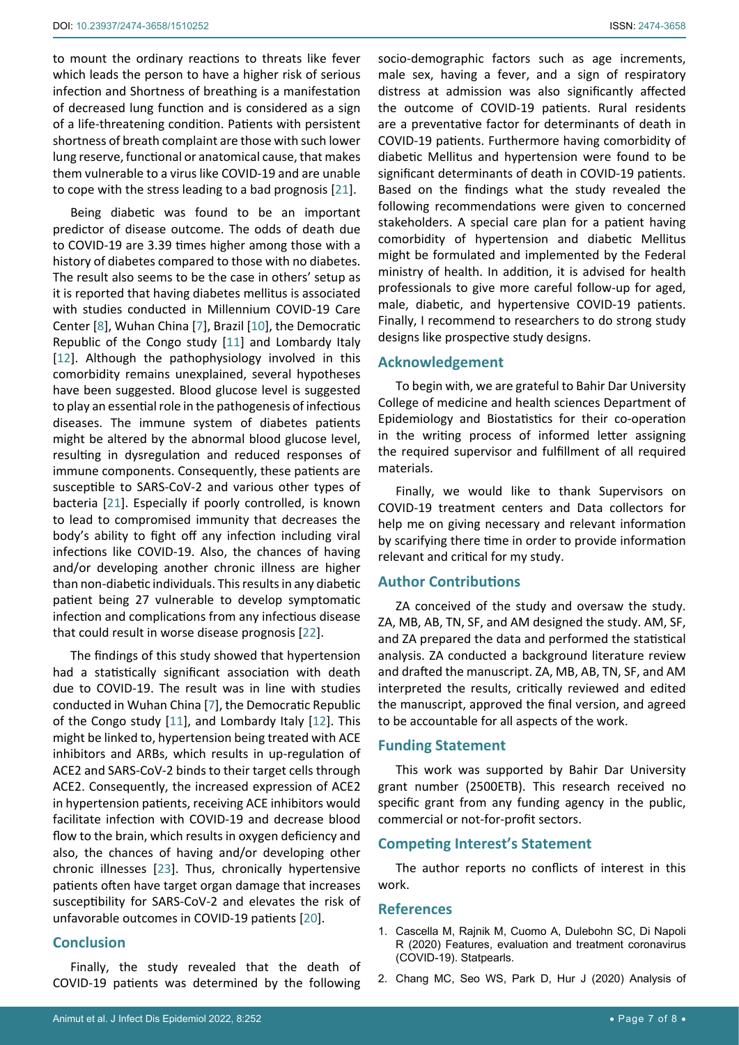to mount the ordinary reactions to threats like fever which leads the person to have a higher risk of serious infection and Shortness of breathing is a manifestation of decreased lung function and is considered as a sign of a life-threatening condition. Patients with persistent shortness of breath complaint are those with such lower lung reserve, functional or anatomical cause, that makes them vulnerable to a virus like COVID-19 and are unable to cope with the stress leading to a bad prognosis [[21](#page-7-17)].

Being diabetic was found to be an important predictor of disease outcome. The odds of death due to COVID-19 are 3.39 times higher among those with a history of diabetes compared to those with no diabetes. The result also seems to be the case in others' setup as it is reported that having diabetes mellitus is associated with studies conducted in Millennium COVID-19 Care Center [\[8\]](#page-7-4), Wuhan China [\[7\]](#page-7-3), Brazil [[10](#page-7-6)], the Democratic Republic of the Congo study [[11](#page-7-7)] and Lombardy Italy [[12](#page-7-8)]. Although the pathophysiology involved in this comorbidity remains unexplained, several hypotheses have been suggested. Blood glucose level is suggested to play an essential role in the pathogenesis of infectious diseases. The immune system of diabetes patients might be altered by the abnormal blood glucose level, resulting in dysregulation and reduced responses of immune components. Consequently, these patients are susceptible to SARS-CoV-2 and various other types of bacteria [[21](#page-7-17)]. Especially if poorly controlled, is known to lead to compromised immunity that decreases the body's ability to fight off any infection including viral infections like COVID-19. Also, the chances of having and/or developing another chronic illness are higher than non-diabetic individuals. This results in any diabetic patient being 27 vulnerable to develop symptomatic infection and complications from any infectious disease that could result in worse disease prognosis [[22](#page-7-18)].

The findings of this study showed that hypertension had a statistically significant association with death due to COVID-19. The result was in line with studies conducted in Wuhan China [[7](#page-7-3)], the Democratic Republic of the Congo study [[11](#page-7-7)], and Lombardy Italy [[12](#page-7-8)]. This might be linked to, hypertension being treated with ACE inhibitors and ARBs, which results in up-regulation of ACE2 and SARS-CoV-2 binds to their target cells through ACE2. Consequently, the increased expression of ACE2 in hypertension patients, receiving ACE inhibitors would facilitate infection with COVID-19 and decrease blood flow to the brain, which results in oxygen deficiency and also, the chances of having and/or developing other chronic illnesses [[23](#page-7-19)]. Thus, chronically hypertensive patients often have target organ damage that increases susceptibility for SARS-CoV-2 and elevates the risk of unfavorable outcomes in COVID-19 patients [[20\]](#page-7-14).

## **Conclusion**

Finally, the study revealed that the death of COVID-19 patients was determined by the following

socio-demographic factors such as age increments, male sex, having a fever, and a sign of respiratory distress at admission was also significantly affected the outcome of COVID-19 patients. Rural residents are a preventative factor for determinants of death in COVID-19 patients. Furthermore having comorbidity of diabetic Mellitus and hypertension were found to be significant determinants of death in COVID-19 patients. Based on the findings what the study revealed the following recommendations were given to concerned stakeholders. A special care plan for a patient having comorbidity of hypertension and diabetic Mellitus might be formulated and implemented by the Federal ministry of health. In addition, it is advised for health professionals to give more careful follow-up for aged, male, diabetic, and hypertensive COVID-19 patients. Finally, I recommend to researchers to do strong study designs like prospective study designs.

## **Acknowledgement**

To begin with, we are grateful to Bahir Dar University College of medicine and health sciences Department of Epidemiology and Biostatistics for their co-operation in the writing process of informed letter assigning the required supervisor and fulfillment of all required materials.

Finally, we would like to thank Supervisors on COVID-19 treatment centers and Data collectors for help me on giving necessary and relevant information by scarifying there time in order to provide information relevant and critical for my study.

#### **Author Contributions**

ZA conceived of the study and oversaw the study. ZA, MB, AB, TN, SF, and AM designed the study. AM, SF, and ZA prepared the data and performed the statistical analysis. ZA conducted a background literature review and drafted the manuscript. ZA, MB, AB, TN, SF, and AM interpreted the results, critically reviewed and edited the manuscript, approved the final version, and agreed to be accountable for all aspects of the work.

#### **Funding Statement**

This work was supported by Bahir Dar University grant number (2500ETB). This research received no specific grant from any funding agency in the public, commercial or not-for-profit sectors.

## **Competing Interest's Statement**

The author reports no conflicts of interest in this work.

#### **References**

- <span id="page-6-0"></span>1. [Cascella M, Rajnik M, Cuomo A, Dulebohn SC, Di Napoli](https://www.ncbi.nlm.nih.gov/books/NBK554776/)  [R \(2020\) Features, evaluation and treatment coronavirus](https://www.ncbi.nlm.nih.gov/books/NBK554776/)  [\(COVID-19\). Statpearls.](https://www.ncbi.nlm.nih.gov/books/NBK554776/)
- <span id="page-6-1"></span>2. [Chang MC, Seo WS, Park D, Hur J \(2020\) Analysis of](https://pubmed.ncbi.nlm.nih.gov/32466523/)